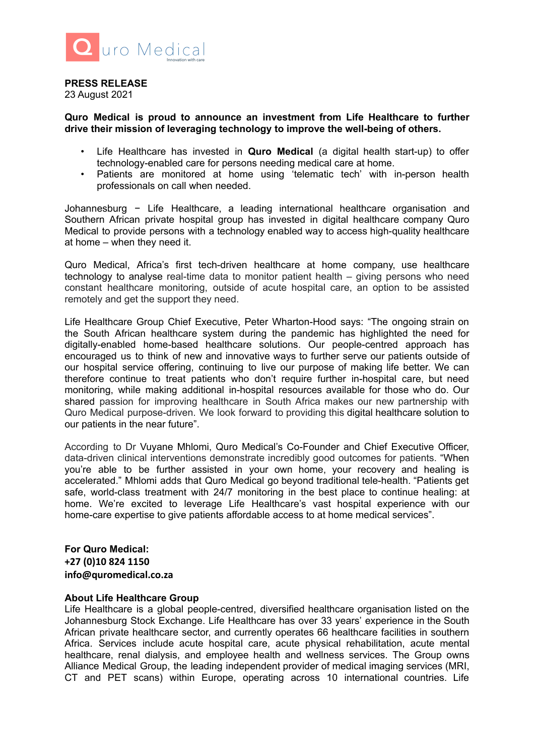

## **PRESS RELEASE**

23 August 2021

## **Quro Medical is proud to announce an investment from Life Healthcare to further drive their mission of leveraging technology to improve the well-being of others.**

- Life Healthcare has invested in **Quro Medical** (a digital health start-up) to offer technology-enabled care for persons needing medical care at home.
- Patients are monitored at home using 'telematic tech' with in-person health professionals on call when needed.

Johannesburg − Life Healthcare, a leading international healthcare organisation and Southern African private hospital group has invested in digital healthcare company Quro Medical to provide persons with a technology enabled way to access high-quality healthcare at home – when they need it.

Quro Medical, Africa's first tech-driven healthcare at home company, use healthcare technology to analyse real-time data to monitor patient health – giving persons who need constant healthcare monitoring, outside of acute hospital care, an option to be assisted remotely and get the support they need.

Life Healthcare Group Chief Executive, Peter Wharton-Hood says: "The ongoing strain on the South African healthcare system during the pandemic has highlighted the need for digitally-enabled home-based healthcare solutions. Our people-centred approach has encouraged us to think of new and innovative ways to further serve our patients outside of our hospital service offering, continuing to live our purpose of making life better. We can therefore continue to treat patients who don't require further in-hospital care, but need monitoring, while making additional in-hospital resources available for those who do. Our shared passion for improving healthcare in South Africa makes our new partnership with Quro Medical purpose-driven. We look forward to providing this digital healthcare solution to our patients in the near future".

According to Dr Vuyane Mhlomi, Quro Medical's Co-Founder and Chief Executive Officer, data-driven clinical interventions demonstrate incredibly good outcomes for patients. "When you're able to be further assisted in your own home, your recovery and healing is accelerated." Mhlomi adds that Quro Medical go beyond traditional tele-health. "Patients get safe, world-class treatment with 24/7 monitoring in the best place to continue healing: at home. We're excited to leverage Life Healthcare's vast hospital experience with our home-care expertise to give patients affordable access to at home medical services".

**For Quro Medical: +27 (0)10 824 1150 info@quromedical.co.za**

## **About Life Healthcare Group**

Life Healthcare is a global people-centred, diversified healthcare organisation listed on the Johannesburg Stock Exchange. Life Healthcare has over 33 years' experience in the South African private healthcare sector, and currently operates 66 healthcare facilities in southern Africa. Services include acute hospital care, acute physical rehabilitation, acute mental healthcare, renal dialysis, and employee health and wellness services. The Group owns Alliance Medical Group, the leading independent provider of medical imaging services (MRI, CT and PET scans) within Europe, operating across 10 international countries. Life